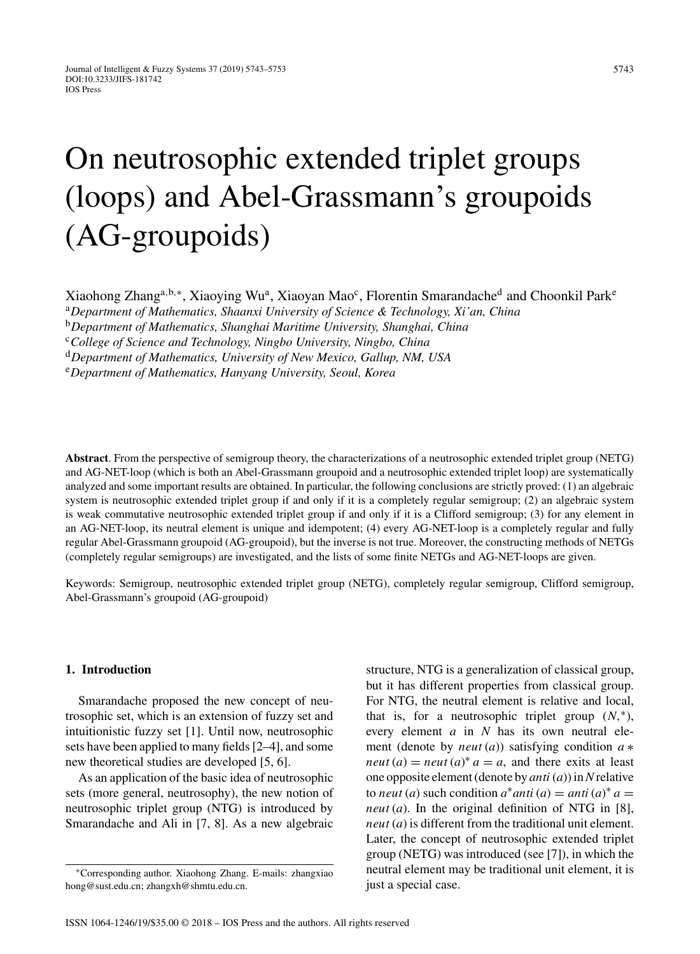# On neutrosophic extended triplet groups (loops) and Abel-Grassmann's groupoids (AG-groupoids)

Xiaohong Zhang<sup>a,b,∗</sup>, Xiaoying Wu<sup>a</sup>, Xiaoyan Mao<sup>c</sup>, Florentin Smarandache<sup>d</sup> and Choonkil Park<sup>e</sup>

<sup>a</sup>*Department of Mathematics, Shaanxi University of Science & Technology, Xi'an, China*

<sup>b</sup>*Department of Mathematics, Shanghai Maritime University, Shanghai, China*

<sup>c</sup>*College of Science and Technology, Ningbo University, Ningbo, China*

<sup>d</sup>*Department of Mathematics, University of New Mexico, Gallup, NM, USA*

<sup>e</sup>*Department of Mathematics, Hanyang University, Seoul, Korea*

**Abstract**. From the perspective of semigroup theory, the characterizations of a neutrosophic extended triplet group (NETG) and AG-NET-loop (which is both an Abel-Grassmann groupoid and a neutrosophic extended triplet loop) are systematically analyzed and some important results are obtained. In particular, the following conclusions are strictly proved: (1) an algebraic system is neutrosophic extended triplet group if and only if it is a completely regular semigroup; (2) an algebraic system is weak commutative neutrosophic extended triplet group if and only if it is a Clifford semigroup; (3) for any element in an AG-NET-loop, its neutral element is unique and idempotent; (4) every AG-NET-loop is a completely regular and fully regular Abel-Grassmann groupoid (AG-groupoid), but the inverse is not true. Moreover, the constructing methods of NETGs (completely regular semigroups) are investigated, and the lists of some finite NETGs and AG-NET-loops are given.

Keywords: Semigroup, neutrosophic extended triplet group (NETG), completely regular semigroup, Clifford semigroup, Abel-Grassmann's groupoid (AG-groupoid)

# **1. Introduction**

Smarandache proposed the new concept of neutrosophic set, which is an extension of fuzzy set and intuitionistic fuzzy set [1]. Until now, neutrosophic sets have been applied to many fields [2–4], and some new theoretical studies are developed [5, 6].

As an application of the basic idea of neutrosophic sets (more general, neutrosophy), the new notion of neutrosophic triplet group (NTG) is introduced by Smarandache and Ali in [7, 8]. As a new algebraic

structure, NTG is a generalization of classical group, but it has different properties from classical group. For NTG, the neutral element is relative and local, that is, for a neutrosophic triplet group  $(N, *),$ every element *a* in *N* has its own neutral element (denote by *neut* (*a*)) satisfying condition *a* ∗ *neut*  $(a) =$  *neut*  $(a)^* a = a$ , and there exits at least one opposite element (denote by *anti* (*a*)) in*N*relative to *neut* (*a*) such condition  $a^*$  *anti* (*a*) = *anti* (*a*)<sup>\*</sup> *a* = *neut* (*a*). In the original definition of NTG in [8], *neut* (*a*) is different from the traditional unit element. Later, the concept of neutrosophic extended triplet group (NETG) was introduced (see [7]), in which the [neutral e](mailto:zhangxiao{penalty -@M }hong@sust.edu.cn)lement may be traditional unit element, it is just a special case.

<sup>∗</sup>Corresponding author. Xiaohong Zhang. E-mails: zhangxiao hong@sust.edu.cn; [zhangxh@shmtu.edu.cn.](mailto:zhangxh@shmtu.edu.cn)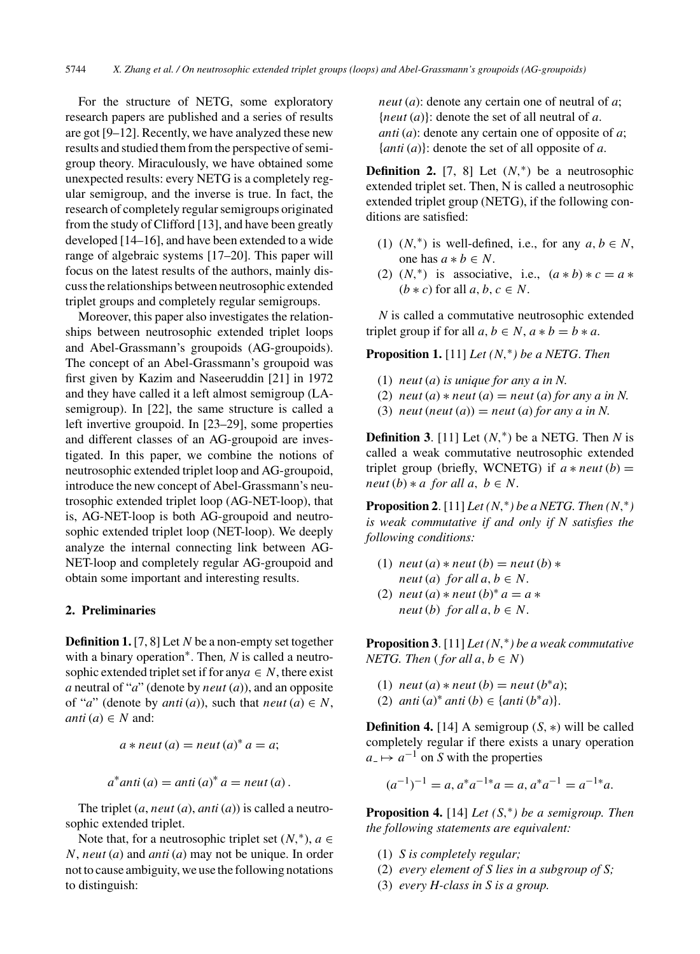For the structure of NETG, some exploratory research papers are published and a series of results are got [9–12]. Recently, we have analyzed these new results and studied them from the perspective of semigroup theory. Miraculously, we have obtained some unexpected results: every NETG is a completely regular semigroup, and the inverse is true. In fact, the research of completely regular semigroups originated from the study of Clifford [13], and have been greatly developed [14–16], and have been extended to a wide range of algebraic systems [17–20]. This paper will focus on the latest results of the authors, mainly discuss the relationships between neutrosophic extended triplet groups and completely regular semigroups.

Moreover, this paper also investigates the relationships between neutrosophic extended triplet loops and Abel-Grassmann's groupoids (AG-groupoids). The concept of an Abel-Grassmann's groupoid was first given by Kazim and Naseeruddin [21] in 1972 and they have called it a left almost semigroup (LAsemigroup). In [22], the same structure is called a left invertive groupoid. In [23–29], some properties and different classes of an AG-groupoid are investigated. In this paper, we combine the notions of neutrosophic extended triplet loop and AG-groupoid, introduce the new concept of Abel-Grassmann's neutrosophic extended triplet loop (AG-NET-loop), that is, AG-NET-loop is both AG-groupoid and neutrosophic extended triplet loop (NET-loop). We deeply analyze the internal connecting link between AG-NET-loop and completely regular AG-groupoid and obtain some important and interesting results.

## **2. Preliminaries**

**Definition 1.** [7, 8] Let *N* be a non-empty set together with a binary operation∗. Then*, N* is called a neutrosophic extended triplet set if for any $a \in N$ , there exist *a* neutral of "*a*" (denote by *neut* (*a*)), and an opposite of "*a*" (denote by *anti* (*a*)), such that *neut* (*a*)  $\in$  *N*,  $anti(a) \in N$  and:

$$
a * neut(a) = neut(a)^* a = a;
$$

$$
a^*anti(a) = anti(a)^* a = neut(a).
$$

The triplet (*a*, *neut* (*a*), *anti* (*a*)) is called a neutrosophic extended triplet.

Note that, for a neutrosophic triplet set  $(N, *), a \in$ *N*, *neut* (*a*) and *anti* (*a*) may not be unique. In order not to cause ambiguity, we use the following notations to distinguish:

*neut* (*a*): denote any certain one of neutral of *a*; {*neut* (*a*)}: denote the set of all neutral of *a*. *anti* (*a*): denote any certain one of opposite of *a*; {*anti* (*a*)}: denote the set of all opposite of *a*.

**Definition 2.** [7, 8] Let  $(N,*)$  be a neutrosophic extended triplet set. Then, N is called a neutrosophic extended triplet group (NETG), if the following conditions are satisfied:

- (1)  $(N,^*)$  is well-defined, i.e., for any  $a, b \in N$ , one has  $a * b \in N$ .
- (2)  $(N,^*)$  is associative, i.e.,  $(a * b) * c = a *$  $(b * c)$  for all  $a, b, c \in N$ .

*N* is called a commutative neutrosophic extended triplet group if for all  $a, b \in N$ ,  $a * b = b * a$ .

**Proposition 1.** [11] *Let (N,*∗*) be a NETG*. *Then*

- (1) *neut* (*a*) *is unique for any a in N.*
- (2)  $neut (a) * neut (a) = neut (a) for any a in N.$
- (3) *neut* (*neut* (*a*)) = *neut* (*a*) *for any a in N*.

**Definition 3.** [11] Let  $(N, * )$  be a NETG. Then *N* is called a weak commutative neutrosophic extended triplet group (briefly, WCNETG) if  $a * new(b) =$ *neut*  $(b) * a$  *for all a, b*  $\in$  *N*.

**Proposition 2.** [11] *Let*  $(N, * )$  *be a NETG. Then*  $(N, * )$ *is weak commutative if and only if N satisfies the following conditions:*

- (1)  $neut(a) * neut(b) = neut(b) *$ *neut* (*a*) *for all*  $a, b \in N$ .
- (2) *neut* (*a*)  $*$  *neut* (*b*) $*$  *a* = *a*  $*$ *neut* (*b*) *for all*  $a, b \in N$ .

**Proposition 3**. [11] *Let (N,*∗*) be a weak commutative NETG. Then* (*for all a, b*  $\in$  *N*)

- (1) *neut* (*a*)  $*$  *neut* (*b*) = *neut* (*b* $*$ *a*);
- (2) *anti*  $(a)$ <sup>∗</sup> *anti*  $(b)$  ∈  $\{$ *anti*  $(b$ <sup>∗</sup> $a)$  $\}.$

**Definition 4.** [14] A semigroup  $(S, *)$  will be called completely regular if there exists a unary operation  $a<sub>-</sub> \mapsto a<sup>-1</sup>$  on *S* with the properties

$$
(a^{-1})^{-1} = a, a^*a^{-1*}a = a, a^*a^{-1} = a^{-1*}a.
$$

**Proposition 4.** [14] *Let (S,*∗*) be a semigroup. Then the following statements are equivalent:*

- (1) *S is completely regular;*
- (2) *every element of S lies in a subgroup of S;*
- (3) *every H-class in S is a group.*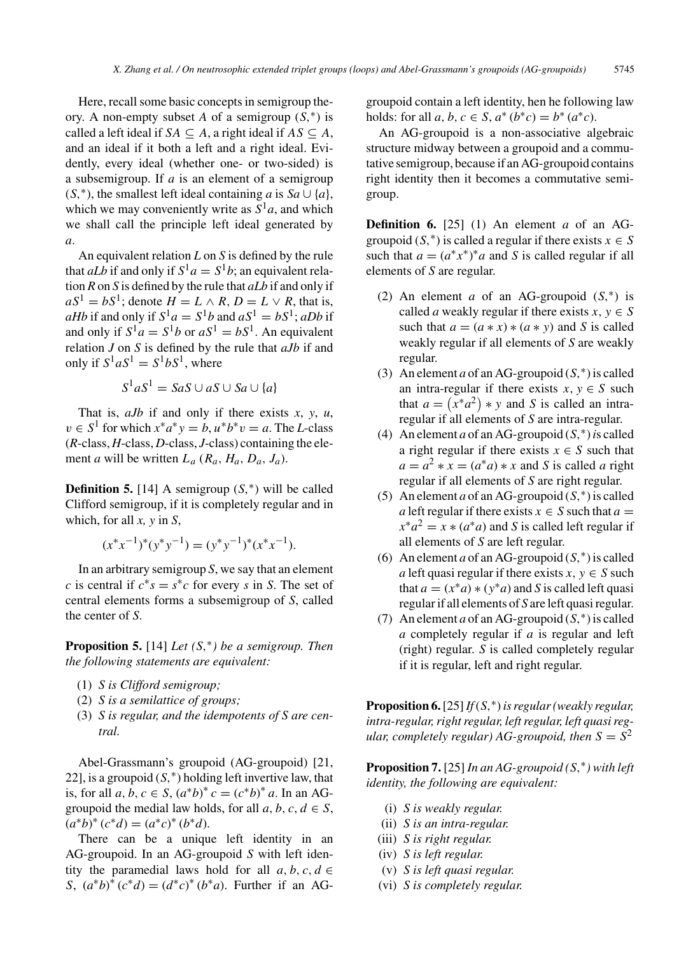Here, recall some basic concepts in semigroup theory. A non-empty subset *A* of a semigroup  $(S,^*)$  is called a left ideal if *SA*  $\subset$  *A*, a right ideal if *AS*  $\subset$  *A*, and an ideal if it both a left and a right ideal. Evidently, every ideal (whether one- or two-sided) is a subsemigroup. If *a* is an element of a semigroup  $(S, *),$  the smallest left ideal containing *a* is  $Sa \cup \{a\}$ , which we may conveniently write as  $S^1a$ , and which we shall call the principle left ideal generated by *a*.

An equivalent relation *L* on *S* is defined by the rule that *aLb* if and only if  $S^1a = S^1b$ ; an equivalent relation *R* on *S* is defined by the rule that *aLb* if and only if  $aS^1 = bS^1$ ; denote  $H = L \wedge R$ ,  $D = L \vee R$ , that is, *aHb* if and only if  $S^1a = S^1b$  and  $aS^1 = bS^1$ ; *aDb* if and only if  $S^1a = S^1b$  or  $aS^1 = bS^1$ . An equivalent relation *J* on *S* is defined by the rule that *aJb* if and only if  $S^1 a S^1 = S^1 b S^1$ , where

$$
S^1 a S^1 = S a S \cup a S \cup S a \cup \{a\}
$$

That is, *aJb* if and only if there exists *x*, *y*, *u*,  $v \in S^1$  for which  $x^*a^*y = b$ ,  $u^*b^*v = a$ . The *L*-class (*R*-class, *H*-class, *D*-class, *J*-class) containing the element *a* will be written *La* (*Ra, Ha, Da, Ja*).

**Definition 5.** [14] A semigroup  $(S,^*)$  will be called Clifford semigroup, if it is completely regular and in which, for all *x, y* in *S*,

$$
(x^*x^{-1})^*(y^*y^{-1}) = (y^*y^{-1})^*(x^*x^{-1}).
$$

In an arbitrary semigroup *S*, we say that an element *c* is central if  $c^*s = s^*c$  for every *s* in *S*. The set of central elements forms a subsemigroup of *S*, called the center of *S*.

**Proposition 5.** [14] *Let (S,*∗*) be a semigroup. Then the following statements are equivalent:*

- (1) *S is Clifford semigroup;*
- (2) *S is a semilattice of groups;*
- (3) *S is regular, and the idempotents of S are central.*

Abel-Grassmann's groupoid (AG-groupoid) [21, 22], is a groupoid  $(S,^*)$  holding left invertive law, that is, for all *a*, *b*, *c* ∈ *S*,  $(a^*b)^* c = (c^*b)^* a$ . In an AGgroupoid the medial law holds, for all  $a, b, c, d \in S$ ,  $(a^*b)^*(c^*d) = (a^*c)^*(b^*d).$ 

There can be a unique left identity in an AG-groupoid. In an AG-groupoid *S* with left identity the paramedial laws hold for all  $a, b, c, d \in$ *S*,  $(a^*b)^* (c^*d) = (d^*c)^* (b^*a)$ . Further if an AG-

groupoid contain a left identity, hen he following law holds: for all *a*, *b*, *c*  $\in$  *S*,  $a^*(b^*c) = b^*(a^*c)$ .

An AG-groupoid is a non-associative algebraic structure midway between a groupoid and a commutative semigroup, because if an AG-groupoid contains right identity then it becomes a commutative semigroup.

**Definition 6.** [25] (1) An element *a* of an AGgroupoid  $(S,^*)$  is called a regular if there exists  $x \in S$ such that  $a = (a^*x^*)^*a$  and *S* is called regular if all elements of *S* are regular.

- (2) An element *a* of an AG-groupoid (*S,*∗) is called *a* weakly regular if there exists  $x, y \in S$ such that  $a = (a * x) * (a * y)$  and *S* is called weakly regular if all elements of *S* are weakly regular.
- (3) An element *a* of an AG-groupoid  $(S,^*)$  is called an intra-regular if there exists  $x, y \in S$  such that  $a = (x^*a^2) * y$  and *S* is called an intraregular if all elements of *S* are intra-regular.
- (4) An element *a* of an AG-groupoid  $(S,^*)$  *is called* a right regular if there exists  $x \in S$  such that  $a = a^2 * x = (a^*a) * x$  and *S* is called *a* right regular if all elements of *S* are right regular.
- (5) An element *a* of an AG-groupoid  $(S,^*)$  is called *a* left regular if there exists  $x \in S$  such that  $a =$  $x^*a^2 = x * (a^*a)$  and *S* is called left regular if all elements of *S* are left regular.
- (6) An element *a* of an AG-groupoid (*S,*∗) is called *a* left quasi regular if there exists  $x, y \in S$  such that  $a = (x^*a) * (y^*a)$  and *S* is called left quasi regular if all elements of *S* are left quasi regular.
- (7) An element *a* of an AG-groupoid  $(S,^*)$  is called *a* completely regular if *a* is regular and left (right) regular*. S* is called completely regular if it is regular, left and right regular.

**Proposition 6.**[25]*If*(*S,*∗)*is regular (weakly regular, intra-regular, right regular, left regular, left quasi regular, completely regular)* AG-groupoid, then  $S = S^2$ 

**Proposition 7.** [25] *In an AG-groupoid (S,*∗*) with left identity, the following are equivalent:*

- (i) *S is weakly regular.*
- (ii) *S is an intra-regular.*
- (iii) *S is right regular.*
- (iv) *S is left regular.*
- (v) *S is left quasi regular.*
- (vi) *S is completely regular.*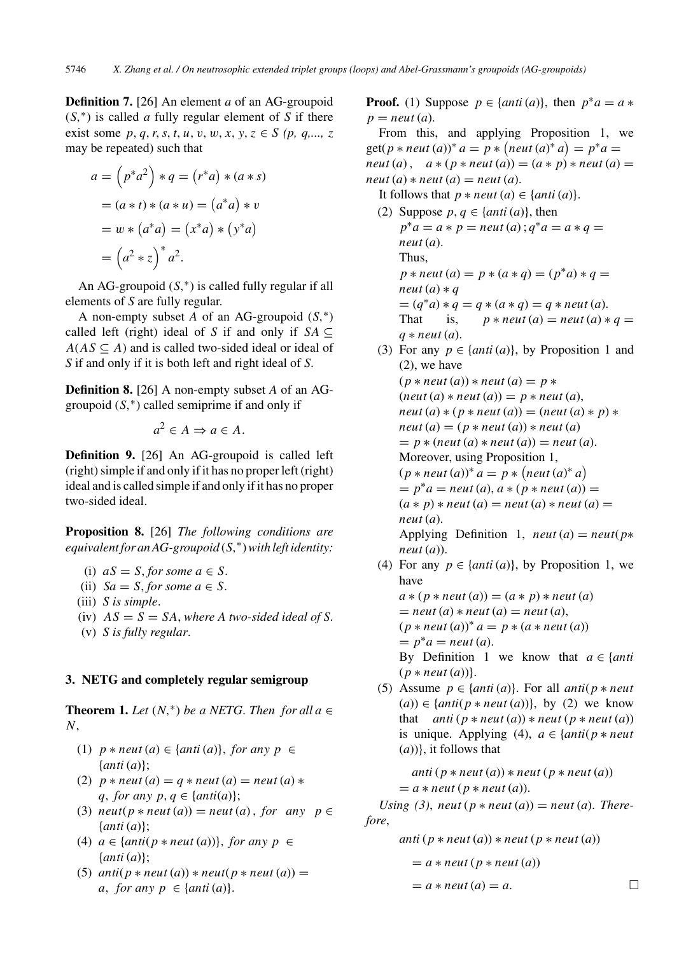**Definition 7.** [26] An element *a* of an AG-groupoid (*S,*∗) is called *a* fully regular element of *S* if there exist some  $p, q, r, s, t, u, v, w, x, y, z \in S$  (p, q,  $z$ , z, may be repeated) such that

$$
a = (p^*a^2) * q = (r^*a) * (a * s)
$$

$$
= (a * t) * (a * u) = (a^*a) * v
$$

$$
= w * (a^*a) = (x^*a) * (y^*a)
$$

$$
= (a^2 * z)^* a^2.
$$

An AG-groupoid  $(S,^*)$  is called fully regular if all elements of *S* are fully regular.

A non-empty subset *A* of an AG-groupoid (*S,*∗) called left (right) ideal of *S* if and only if  $SA \subseteq$  $A(AS \subseteq A)$  and is called two-sided ideal or ideal of *S* if and only if it is both left and right ideal of *S*.

**Definition 8.** [26] A non-empty subset *A* of an AGgroupoid (*S,*∗) called semiprime if and only if

$$
a^2 \in A \Rightarrow a \in A.
$$

**Definition 9.** [26] An AG-groupoid is called left (right) simple if and only if it has no proper left (right) ideal and is called simple if and only if it has no proper two-sided ideal.

**Proposition 8.** [26] *The following conditions are equivalent for an AG-groupoid* (*S,*∗)*with left identity:*

(i) 
$$
aS = S
$$
, for some  $a \in S$ .

(ii) 
$$
Sa = S
$$
, for some  $a \in S$ .

- (iii) *S is simple*.
- (iv)  $AS = S = SA$ , where A two-sided ideal of S.
- (v) *S is fully regular*.

#### **3. NETG and completely regular semigroup**

**Theorem 1.** *Let*  $(N, * )$  *be a NETG. Then for all a*  $\in$ *N*,

- (1)  $p * \textit{neut}(a) \in \{ \textit{anti}(a) \}, \textit{for any } p \in \}$ {*anti* (*a*)};
- (2)  $p * \textit{neut}(a) = q * \textit{neut}(a) = \textit{neut}(a) *$ *q, for any p, q*  $\in$  {*anti*(*a*)};
- (3)  $neut(p * neut(a)) = neut(a)$ , for any  $p \in$ {*anti* (*a*)};
- (4)  $a \in \{anti(p * neut(a))\}$ *, for any p*  $\in$ {*anti* (*a*)};
- (5)  $anti(p * neut(a)) * neut(p * neut(a)) =$ *a, for any p*  $\in$  {*anti* (*a*)}.

**Proof.** (1) Suppose  $p \in \{anti(a)\},\}$  then  $p^*a = a *$  $p =$  *neut* (*a*).

From this, and applying Proposition 1, we  $get(p * neut(a))^* a = p * (neut(a)^* a) = p^* a =$ *neut* (*a*),  $a * (p * neut(a)) = (a * p) * neut(a) =$  $neut(a) * neut(a) = neut(a).$ 

- It follows that  $p * \textit{neut}(a) \in \{ \textit{anti}(a) \}.$
- (2) Suppose  $p, q \in \{anti(a)\}, then$  $p^*a = a * p =$  *neut* (*a*) ;  $q^*a = a * q =$ *neut* (*a*). Thus,  $p * \textit{neut}(a) = p * (a * q) = (p * a) * q =$  $neut(a) * q$  $= (q^*a) * q = q * (a * q) = q * \text{neut } (a).$ That is,  $p * \textit{neut}(a) = \textit{neut}(a) * q =$ *q* ∗ *neut* (*a*).
- (3) For any  $p \in \{anti(a)\}\)$ , by Proposition 1 and (2), we have  $(p * neut(a)) * neut(a) = p *$  $(\textit{neut}(a) * \textit{neut}(a)) = p * \textit{neut}(a),$  $neut (a) * (p * neut (a)) = (neut (a) * p) *$  $neut(a) = (p * neut(a)) * neut(a)$  $= p * (neut(a) * neut(a)) = neut(a).$ Moreover, using Proposition 1,  $(p * neut(a))^* a = p * (neut(a)^* a)$  $= p^*a = \text{neut}(a), a * (p * \text{neut}(a)) =$  $(a * p) * neut(a) = neut(a) * neut(a) =$ *neut* (*a*). Applying Definition 1,  $neut (a) = neut (p*)$ *neut* (*a*)).
- (4) For any  $p \in \{anti(a)\}\)$ , by Proposition 1, we have  $a * (p * neut(a)) = (a * p) * neut(a)$  $=$  *neut* (*a*)  $*$  *neut* (*a*)  $=$  *neut* (*a*),  $(p * neut(a))^* a = p * (a * neut(a))$ 
	- $= p^*a =$  *neut* (*a*).

By Definition 1 we know that  $a \in \{anti\}$  $(p * \textit{neut}(a))$ .

(5) Assume  $p \in \{anti(a)\}$ . For all *anti*( $p * neut$  $(a)$ ) ∈ {*anti*( $p$  *∗ neut* (*a*))}, by (2) we know that  $anti (p * neut (a)) * neut (p * neut (a))$ is unique. Applying (4),  $a \in \{anti(p * neut)$ (*a*))}, it follows that

*anti*  $(p * \textit{neut}(a)) * \textit{neut}(p * \textit{neut}(a))$  $= a * neut (p * neut (a)).$ 

*Using* (3), *neut*  $(p * \textit{neut}(a)) = \textit{neut}(a)$ . *Therefore*,

*anti*  $(p * \textit{neut}(a)) * \textit{neut}(p * \textit{neut}(a))$ 

$$
= a * neut (p * neut (a))
$$

$$
= a * neut (a) = a.
$$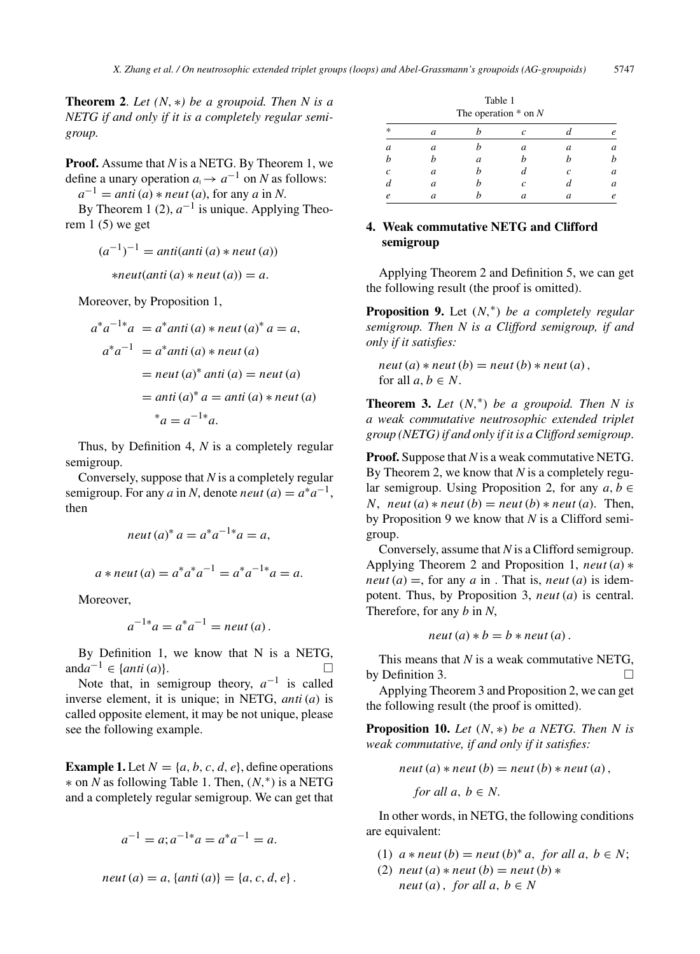**Theorem 2**. *Let (N,* ∗*) be a groupoid. Then N is a NETG if and only if it is a completely regular semigroup.*

**Proof.** Assume that *N* is a NETG. By Theorem 1, we define a unary operation  $a_1 \rightarrow a^{-1}$  on *N* as follows:

 $a^{-1}$  = *anti* (*a*) \* *neut* (*a*), for any *a* in *N*.

By Theorem 1 (2),  $a^{-1}$  is unique. Applying Theorem  $1(5)$  we get

$$
(a-1)-1 = anti(anti(a) * neut(a))
$$
  

$$
*neut(anti(a) * neut(a)) = a.
$$

Moreover, by Proposition 1,

$$
a^*a^{-1*}a = a^*anti(a) * neut(a)^* a = a,
$$
  
\n
$$
a^*a^{-1} = a^*anti(a) * neut(a)
$$
  
\n
$$
= neut(a)^* anti(a) = neut(a)
$$
  
\n
$$
= anti(a)^* a = anti(a) * neut(a)
$$
  
\n
$$
*a = a^{-1*}a.
$$

Thus, by Definition 4, *N* is a completely regular semigroup.

Conversely, suppose that *N* is a completely regular semigroup. For any *a* in *N*, denote *neut* (*a*) =  $a^*a^{-1}$ , then

$$
neut (a)^* a = a^* a^{-1*} a = a,
$$

$$
a * neut(a) = a^*a^*a^{-1} = a^*a^{-1*}a = a.
$$

Moreover,

$$
a^{-1*}a = a^*a^{-1} = \text{neut}(a).
$$

By Definition 1, we know that N is a NETG, and $a^{-1}$  ∈ {*anti* (*a*)}.  $\Box$ 

Note that, in semigroup theory,  $a^{-1}$  is called inverse element, it is unique; in NETG, *anti* (*a*) is called opposite element, it may be not unique, please see the following example.

**Example 1.** Let  $N = \{a, b, c, d, e\}$ , define operations ∗ on *N* as following Table 1. Then, (*N,*∗) is a NETG and a completely regular semigroup. We can get that

$$
a^{-1} = a; a^{-1*}a = a^*a^{-1} = a.
$$

*neut* (*a*) = *a,*{*anti* (*a*)} = {*a, c, d, e*}*.*

| Table 1<br>The operation $*$ on N |   |   |                  |   |   |  |
|-----------------------------------|---|---|------------------|---|---|--|
| $\ast$                            | a |   | $\mathcal{C}$    |   | e |  |
| $\mathfrak a$                     | а |   | $\boldsymbol{a}$ | a | a |  |
|                                   |   | a |                  |   | h |  |
| C                                 | a |   |                  | c | a |  |
|                                   | a |   | c                |   | a |  |
| e                                 | а |   | a                | a | e |  |

# **4. Weak commutative NETG and Clifford semigroup**

Applying Theorem 2 and Definition 5, we can get the following result (the proof is omitted).

**Proposition 9.** Let (*N,*∗) *be a completely regular semigroup. Then N is a Clifford semigroup, if and only if it satisfies:*

 $neut(a) * neut(b) = neut(b) * neut(a)$ , for all  $a, b \in N$ .

**Theorem 3.** *Let*  $(N,^*)$  *be a groupoid. Then N is a weak commutative neutrosophic extended triplet group (NETG) if and only if it is a Clifford semigroup*.

**Proof.** Suppose that *N* is a weak commutative NETG. By Theorem 2, we know that *N* is a completely regular semigroup. Using Proposition 2, for any  $a, b \in$ *N*,  $neut(a) * neut(b) = neut(b) * neut(a)$ . Then, by Proposition 9 we know that *N* is a Clifford semigroup.

Conversely, assume that *N* is a Clifford semigroup. Applying Theorem 2 and Proposition 1, *neut* (*a*) ∗ *neut* (*a*) =, for any *a* in . That is, *neut* (*a*) is idempotent. Thus, by Proposition 3, *neut* (*a*) is central. Therefore, for any *b* in *N*,

$$
neut (a) * b = b * neut (a).
$$

This means that *N* is a weak commutative NETG, by Definition 3.  $\Box$ 

Applying Theorem 3 and Proposition 2, we can get the following result (the proof is omitted).

**Proposition 10.** *Let* (*N,* ∗) *be a NETG. Then N is weak commutative, if and only if it satisfies:*

$$
neut (a) * neut (b) = neut (b) * neut (a),
$$

for all 
$$
a, b \in N
$$
.

In other words, in NETG, the following conditions are equivalent:

- (1)  $a * neut (b) = neut (b)*a, for all a, b \in N;$
- (2)  $neut(a) * neut(b) = neut(b) *$ *neut* (*a*), *for all*  $a, b \in N$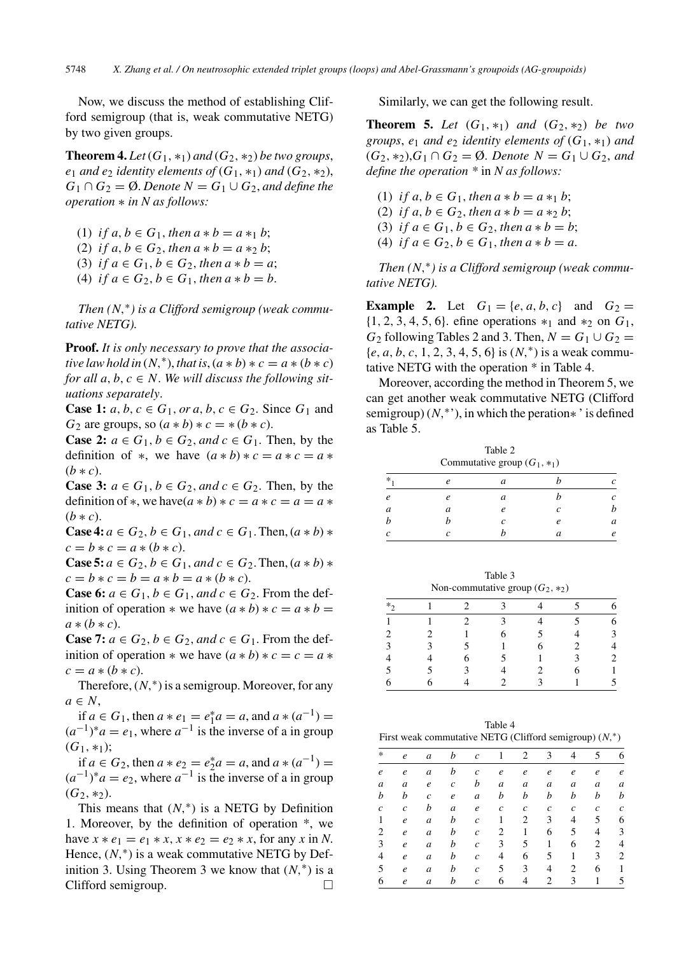Now, we discuss the method of establishing Clifford semigroup (that is, weak commutative NETG) by two given groups.

**Theorem 4.** *Let*  $(G_1, *_1)$  *and*  $(G_2, *_2)$  *be two groups*, *e*<sub>1</sub> *and e*<sub>2</sub> *identity elements of*  $(G_1, *_1)$  *and*  $(G_2, *_2)$ ,  $G_1 \cap G_2 = \emptyset$ . *Denote*  $N = G_1 \cup G_2$ , *and define the operation* ∗ *in N as follows:*

- (1) *if a, b*  $\in$  *G*<sub>1</sub>*, then a*  $*$  *b*  $=$  *a*  $*$ <sub>1</sub> *b*;
- (2) *if a, b*  $\in G_2$ *, then a*  $*$  *b*  $=$  *a*  $*$ <sub>2</sub>*b*;
- (3) *if*  $a \in G_1, b \in G_2$ , then  $a * b = a$ ;
- (4) *if*  $a \in G_2$ ,  $b \in G_1$ , then  $a * b = b$ .

*Then (N,*∗*) is a Clifford semigroup (weak commutative NETG).*

**Proof.** *It is only necessary to prove that the associative law hold in*  $(N, *),$  *that is*,  $(a * b) * c = a * (b * c)$ *for all a, b, c*  $\in$  *N. We will discuss the following situations separately*.

**Case 1:** *a, b, c* ∈ *G*<sub>1</sub>*, or a, b, c* ∈ *G*<sub>2</sub>*.* Since *G*<sub>1</sub> and  $G_2$  are groups, so  $(a * b) * c = * (b * c)$ .

**Case 2:**  $a \in G_1$ ,  $b \in G_2$ , and  $c \in G_1$ . Then, by the definition of \*, we have  $(a * b) * c = a * c = a *$  $(b * c)$ .

**Case 3:**  $a \in G_1$ ,  $b \in G_2$ , and  $c \in G_2$ . Then, by the definition of \*, we have  $(a * b) * c = a * c = a = a *$  $(b * c)$ .

**Case 4:**  $a \in G_2$ ,  $b \in G_1$ , and  $c \in G_1$ . Then,  $(a * b) *$  $c = b * c = a * (b * c).$ 

**Case 5:** *a* ∈ *G*<sub>2</sub>, *b* ∈ *G*<sub>1</sub>, *and c* ∈ *G*<sub>2</sub>. Then,  $(a * b) *$  $c = b * c = b = a * b = a * (b * c).$ 

**Case 6:**  $a \in G_1$ ,  $b \in G_1$ , and  $c \in G_2$ . From the definition of operation  $*$  we have  $(a * b) * c = a * b =$  $a * (b * c)$ .

**Case 7:**  $a \in G_2$ ,  $b \in G_2$ , and  $c \in G_1$ . From the definition of operation  $*$  we have  $(a * b) * c = c = a *$  $c = a * (b * c)$ .

Therefore,  $(N, * )$  is a semigroup. Moreover, for any *a* ∈ *N*,

if *a* ∈ *G*<sub>1</sub>, then *a* ∗ *e*<sub>1</sub> = *e*<sup>\*</sup><sub>1</sub>*a* = *a*, and *a* ∗ (*a*<sup>-1</sup>) =  $(a^{-1})^*a = e_1$ , where  $a^{-1}$  is the inverse of a in group  $(G_1, *_1);$ 

if *a* ∈ *G*<sub>2</sub>, then *a* ∗ *e*<sub>2</sub> = *e*<sub>2</sub><sup>\*</sup>*a* = *a*, and *a* ∗ (*a*<sup>-1</sup>) =  $(a^{-1})^*a = e_2$ , where  $a^{-1}$  is the inverse of a in group  $(G_2, *_2)$ .

This means that  $(N,*)$  is a NETG by Definition 1. Moreover, by the definition of operation \*, we have  $x * e_1 = e_1 * x$ ,  $x * e_2 = e_2 * x$ , for any  $x \text{ in } N$ . Hence,  $(N,*)$  is a weak commutative NETG by Definition 3. Using Theorem 3 we know that  $(N,^*)$  is a Clifford semigroup.  $\Box$ 

Similarly, we can get the following result.

**Theorem 5.** *Let*  $(G_1, *_1)$  *and*  $(G_2, *_2)$  *be two groups, e<sub>1</sub> and e<sub>2</sub> <i>identity elements of*  $(G_1, *_1)$  *and*  $(G_2, *_2)$ ,  $G_1 ∩ G_2 = ∅$ . *Denote*  $N = G_1 ∪ G_2$ , and *define the operation \** in *N as follows:*

(1) *if a, b*  $\in$  *G*<sub>1</sub>*, then a*  $*$  *b*  $=$  *a*  $*$ <sub>1</sub>*b*;

- (2) *if a, b*  $\in$  *G*<sub>2</sub>*, then a*  $*$  *b*  $=$  *a*  $*$ <sub>2</sub>*b*;
- (3) *if*  $a \in G_1, b \in G_2$ , then  $a * b = b$ ;
- (4) *if*  $a \in G_2$ ,  $b \in G_1$ , then  $a * b = a$ .

*Then (N,*∗*) is a Clifford semigroup (weak commutative NETG).*

**Example 2.** Let  $G_1 = \{e, a, b, c\}$  and  $G_2 =$ {1*,* 2*,* 3*,* 4*,* 5*,* 6}. efine operations ∗<sup>1</sup> and ∗<sup>2</sup> on *G*1, *G*<sub>2</sub> following Tables 2 and 3. Then,  $N = G_1 \cup G_2$  = {*e, a, b, c,* 1*,* 2*,* 3*,* 4*,* 5*,* 6} is (*N,*∗) is a weak commutative NETG with the operation \* in Table 4.

Moreover, according the method in Theorem 5, we can get another weak commutative NETG (Clifford semigroup) (*N*,<sup>∗</sup>'), in which the peration<sup>\*</sup> is defined as Table 5.

| Table 2<br>Commutative group $(G_1, *_1)$ |   |   |  |   |  |
|-------------------------------------------|---|---|--|---|--|
| $\ast$                                    |   | a |  |   |  |
| $\boldsymbol{e}$                          |   | a |  |   |  |
| $\mathfrak a$                             | а |   |  |   |  |
| b                                         |   |   |  | a |  |
| $\mathcal{C}_{0}^{2}$                     |   |   |  |   |  |

Table 3 Non-commutative group  $(G_2, *_2)$  $*_{2}$  1 2 3 4 5 6

| $\overline{1}$ | $\sim$ 1 | 2 3            |                 | $\overline{4}$          | 5 <sup>5</sup>           | 6                                     |
|----------------|----------|----------------|-----------------|-------------------------|--------------------------|---------------------------------------|
| $\overline{2}$ | 2        | $\overline{1}$ | $6\overline{6}$ | 5                       | $4 \quad$                | $\overline{\mathbf{3}}$               |
| $\overline{3}$ | 3        | $5\phantom{0}$ | $\sim$ 1        | 6                       | $\overline{\phantom{a}}$ | $\overline{\mathcal{L}}$              |
|                | 4        | 6              | $\overline{5}$  | $\sim$ 1                | $\overline{\mathbf{3}}$  | $\overline{\mathbf{c}}$               |
| 5              | 5        | 3              | $4 \square$     | 2                       | 6                        | $\begin{array}{c} 1 \\ 5 \end{array}$ |
| 6              | 6        | $\overline{4}$ | 2               | $\overline{\mathbf{3}}$ | $\sim$ 1                 |                                       |

Table 4 First weak commutative NETG (Clifford semigroup) (*N,*∗)

| $\ast$           | $\boldsymbol{e}$ | a                | $\boldsymbol{b}$ | $\mathcal{C}$     | -1               | $\overline{2}$   | $\mathbf{3}$     | 4                | 5                | 6                |
|------------------|------------------|------------------|------------------|-------------------|------------------|------------------|------------------|------------------|------------------|------------------|
| $\boldsymbol{e}$ | $\boldsymbol{e}$ | $\boldsymbol{a}$ | b                | $\boldsymbol{c}$  | $\boldsymbol{e}$ | $\boldsymbol{e}$ | $\boldsymbol{e}$ | $\boldsymbol{e}$ | $\boldsymbol{e}$ | $\boldsymbol{e}$ |
| a                | a                | $\boldsymbol{e}$ | $\boldsymbol{c}$ | b                 | $\boldsymbol{a}$ | a                | $\boldsymbol{a}$ | a                | a                | a                |
| b                | b                | $\boldsymbol{c}$ | $\boldsymbol{e}$ | $\boldsymbol{a}$  | b                | b                | b                | b                | b                | b                |
| $\mathfrak c$    | $\boldsymbol{c}$ | b                | $\boldsymbol{a}$ | $\boldsymbol{e}$  | $\boldsymbol{c}$ | $\boldsymbol{c}$ | $\boldsymbol{c}$ | $\boldsymbol{c}$ | $\boldsymbol{c}$ | $\boldsymbol{c}$ |
| 1                | $\boldsymbol{e}$ | $\boldsymbol{a}$ | b                | $\boldsymbol{c}$  | 1                | 2                | 3                | 4                | 5                | 6                |
| 2                | $\boldsymbol{e}$ | $\boldsymbol{a}$ | b                | $\boldsymbol{c}$  | 2                | $\mathbf{1}$     | 6                | 5                | $\overline{4}$   | 3                |
| 3                | $\boldsymbol{e}$ | $\boldsymbol{a}$ | b                | $\boldsymbol{c}$  | 3                | 5                | $\mathbf{1}$     | 6                | 2                | $\overline{4}$   |
| 4                | $\boldsymbol{e}$ | $\boldsymbol{a}$ | b                | $\mathcal{C}_{0}$ | 4                | 6                | 5                | 1                | 3                | $\overline{2}$   |
| 5                | $\boldsymbol{e}$ | $\boldsymbol{a}$ | b                | $\boldsymbol{c}$  | 5                | 3                | 4                | 2                | 6                | $\mathbf{1}$     |
| 6                | $\boldsymbol{e}$ | $\boldsymbol{a}$ | b                | $\boldsymbol{c}$  | 6                | 4                | 2                | 3                | 1                | 5                |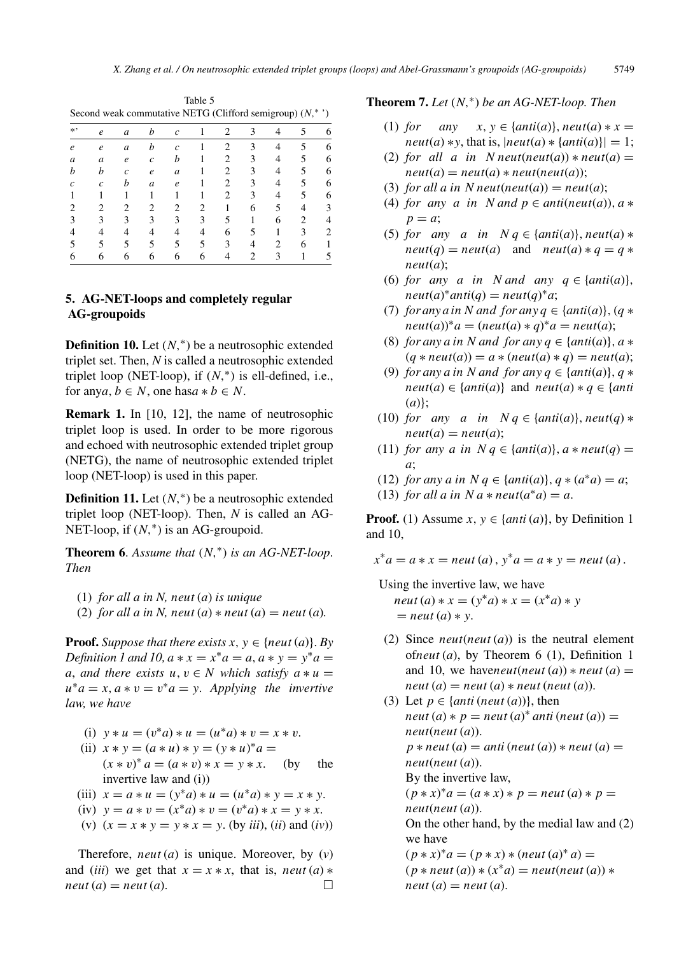| Second weak commutative NETG (Clifford semigroup) $(N,$<br>$\rightarrow$ |   |   |                  |               |   |   |   |   |   |   |
|--------------------------------------------------------------------------|---|---|------------------|---------------|---|---|---|---|---|---|
| $*$ ,                                                                    | e | a | h                | C             |   | 2 |   |   |   | 6 |
| e                                                                        | e | a | h                | $\mathcal{C}$ |   |   |   |   |   | 6 |
| a                                                                        | a | e | $\overline{c}$   | h             |   |   | 3 |   | 5 | 6 |
|                                                                          | h | Ċ | e                | a             |   |   | 3 |   | 5 | 6 |
|                                                                          | c | h | $\boldsymbol{a}$ | e             |   |   | 3 |   | 5 | 6 |
|                                                                          |   |   |                  |               |   |   | 3 |   | 5 | 6 |
|                                                                          |   | 2 | 2                | 2             | 2 |   | 6 |   |   |   |
|                                                                          | 3 | 3 | 3                | 3             | 3 | 5 |   | 6 | 2 |   |
|                                                                          |   |   |                  |               |   | 6 | 5 |   | 3 | 2 |
|                                                                          |   |   |                  |               | 5 | 3 |   |   | 6 |   |
|                                                                          |   | h |                  |               |   |   |   |   |   |   |

Table 5 Second weak commutative NETG (Clifford semigroup) (*N,*<sup>∗</sup> ')

# **5. AG-NET-loops and completely regular AG-groupoids**

**Definition 10.** Let  $(N, * )$  be a neutrosophic extended triplet set. Then, *N* is called a neutrosophic extended triplet loop (NET-loop), if  $(N,^*)$  is ell-defined, i.e., for any*a*,  $b \in N$ , one has*a*  $* b \in N$ .

**Remark 1.** In [10, 12], the name of neutrosophic triplet loop is used. In order to be more rigorous and echoed with neutrosophic extended triplet group (NETG), the name of neutrosophic extended triplet loop (NET-loop) is used in this paper.

**Definition 11.** Let  $(N, * )$  be a neutrosophic extended triplet loop (NET-loop). Then, *N* is called an AG-NET-loop, if (*N,*∗) is an AG-groupoid.

**Theorem 6**. *Assume that* (*N,*∗) *is an AG-NET-loop*. *Then*

- (1) *for all a in N, neut* (*a*) *is unique*
- (2) *for all a in N, neut* (*a*)  $*$  *neut* (*a*)  $=$  *neut* (*a*)*.*

**Proof.** *Suppose that there exists*  $x, y \in \{neu\}(a)\}$ . *By Definition 1 and 10,*  $a * x = x^* a = a$ *,*  $a * y = y^* a = a$ *a*, *and there exists*  $u, v \in N$  *which satisfy*  $a * u =$  $u^*a = x, a * v = v^*a = y$ . *Applying the invertive law, we have*

- (i)  $y * u = (v^*a) * u = (u^*a) * v = x * v$ .
- (ii)  $x * y = (a * u) * y = (y * u)^* a =$
- $(x * v)^* a = (a * v) * x = y * x.$  (by the invertive law and (i))
- (iii)  $x = a * u = (y^*a) * u = (u^*a) * v = x * v$ .
- (iv)  $y = a * v = (x^*a) * v = (v^*a) * x = y * x$ .
- (v)  $(x = x * y = y * x = y$ . (by *iii*), (*ii*) and (*iv*))

Therefore, *neut* (*a*) is unique. Moreover, by (*v*) and (*iii*) we get that  $x = x * x$ , that is, *neut* (*a*)  $*$  $neut(a) = neut(a).$  $\Box$ 

# **Theorem 7.** *Let* (*N,*∗) *be an AG-NET-loop. Then*

- (1) *for* any  $x, y \in \{anti(a)\}, neut(a) * x =$  $neut(a) * y$ , that is,  $|neut(a) * \{anti(a)\}| = 1$ ;
- (2) *for all a in N neut*(*neut*(*a*))  $*$  *neut*(*a*) =  $neut(a) = neut(a) * neut(neut(a));$
- (3) *for all a in N neut*(*neut*(*a*)) = *neut*(*a*);
- (4) *for any a in N* and  $p \in$  *anti*(*neut*(*a*))*, a*  $*$  $p = a$ ;
- (5) *for any a in*  $N q \in \{anti(a)\}, neut(a) *$  $neut(q) = neut(q)$  and  $neut(a) * q = q *$ *neut*(*a*);
- (6) *for any a in N* and any  $q \in \{anti(a)\},\}$  $neut(a)*anti(q) = neut(q)*a;$
- (7) *for any a in N and for any*  $q \in \{anti(a)\}, (q \ast )$  $neut(a)*a = (neut(a)*q)*a = neut(a);$
- (8) *for any a in N and for any*  $q \in \{anti(a)\}, a \neq \emptyset$  $(q * \textit{neut}(a)) = a * (\textit{neut}(a) * q) = \textit{neut}(a);$
- (9) *for any a* in *N* and *for any*  $q \in \{anti(a)\}, q *$  $neut(a) \in \{anti(a)\}\$ and  $neut(a) * q \in \{anti$ (*a*)};
- (10) *for any a in*  $N q \in \{anti(a)\}, neut(q) *$  $neut(a) = neut(a);$
- (11) *for any a in*  $N q \in \{anti(a)\}, a * neut(q) =$ *a*;
- (12) *for any a in*  $N q \in \{anti(a)\}, q * (a^*a) = a;$
- (13) *for all a in*  $N a * \textit{neut}(a^* a) = a$ .

**Proof.** (1) Assume  $x, y \in \{anti(a)\}\)$ , by Definition 1 and 10,

 $x^*a = a * x = \text{neut}(a), y^*a = a * y = \text{neut}(a).$ 

Using the invertive law, we have *neut* (*a*)  $* x = (y^* a) * x = (x^* a) * y$  $=$  *neut* (*a*)  $*$   $y$ .

- (2) Since *neut*(*neut* (*a*)) is the neutral element of*neut* (*a*), by Theorem 6 (1), Definition 1 and 10, we have *neut*(*neut*(*a*))  $*$  *neut*(*a*) =  $neut(a) = neut(a) * neut(neut(a)).$
- (3) Let  $p \in \{anti \, (neut \, (a))\}$ , then  $neut(a) * p = neut(a) * anti(neut(a)) =$ *neut*(*neut* (*a*)).  $p * \textit{neut}(a) = \textit{anti}(\textit{neut}(a)) * \textit{neut}(a) =$ *neut*(*neut* (*a*)). By the invertive law,  $(p * x)^* a = (a * x) * p = \text{neut}(a) * p =$ *neut*(*neut* (*a*)). On the other hand, by the medial law and (2) we have  $(p * x)^* a = (p * x) * (neut (a)^* a) =$  $(p * neut(a)) * (x * a) = neut(new(a)) *$  $neut(a) = neut(a).$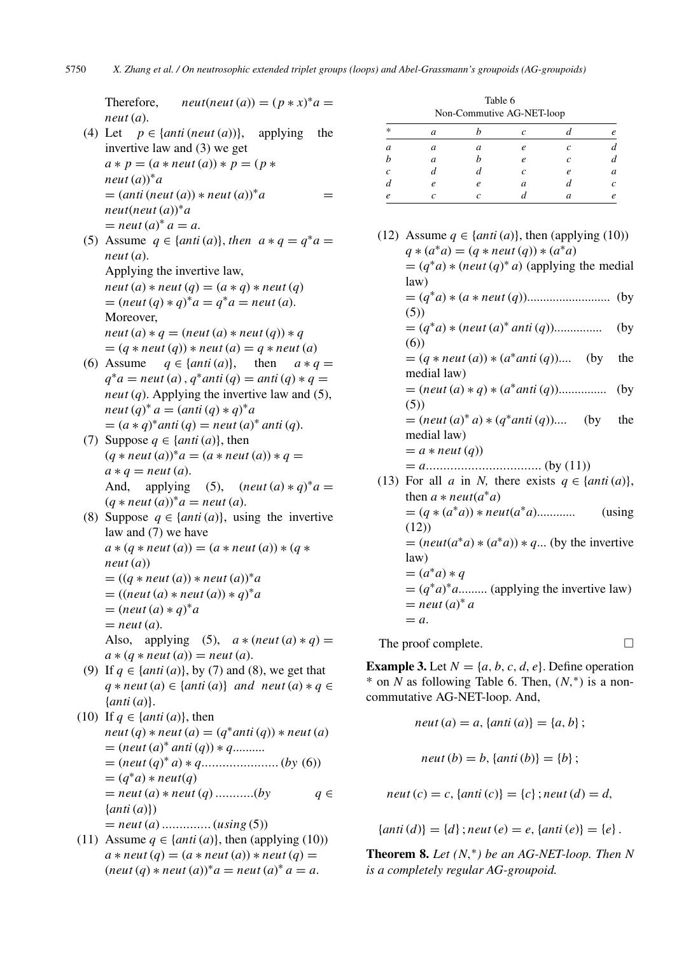Therefore,  $neut(new(a)) = (p * x)^{*}a =$ *neut* (*a*).

- (4) Let  $p \in \{anti \, (neut \, (a))\}$ , applying the invertive law and (3) we get  $a * p = (a * neut(a)) * p = (p *$ *neut* (*a*)) ∗*a*  $= (anti (neut (a)) * neut (a))^* a$  = *neut*(*neut* (*a*)) ∗*a*  $=$  *neut*  $(a)^{*} a = a$ .
- (5) Assume  $q \in \{anti(a)\}, then \ a * q = q^*a =$ *neut* (*a*). Applying the invertive law,  $neut(a) * neut(q) = (a * q) * neut(q)$  $= (neut (q) * q)^{*} a = q^{*} a = neut (a).$ Moreover,

 $neut(a) * q = (neut(a) * neut(q)) * q$  $=(q * neut (q)) * neut (a) = q * neut (a)$ 

- (6) Assume  $q \in \{anti(a)\},$  then  $a * q =$  $q^*a =$  *neut* (*a*),  $q^*ant$  (*q*) = *anti* (*q*)  $* q =$ *neut* (*q*). Applying the invertive law and (5), *neut*  $(q)^* a = (anti(q) * q)^* a$  $=(a * q)^*$ *anti*  $(q) =$ *neut*  $(a)^*$  *anti*  $(q)$ *.*
- (7) Suppose  $q \in \{anti(a)\},$  then  $(q * neut(a))^* a = (a * neut(a)) * q =$  $a * q = \textit{neut}(a).$ And, applying (5),  $(new(a) * q)^* a =$  $(q * neut(a))^* a = neut(a).$
- (8) Suppose  $q \in \{anti(a)\},$  using the invertive law and (7) we have  $a * (q * neut(a)) = (a * neut(a)) * (q *$ *neut* (*a*))  $= ((q * neut(a)) * neut(a))^* a$  $= ((neut(a) * neut(a)) * q)^* a$  $= (neut(a) * q)^* a$  $=$  *neut* (*a*). Also, applying (5),  $a * (neut (a) * q) =$  $a * (q * neut(a)) = neut(a).$
- (9) If  $q \in \{anti(a)\},$  by (7) and (8), we get that  $q * newt(a) \in \{anti(a)\}$  *and neut*  $(a) * q \in$ {*anti* (*a*)}.
- (10) If  $q \in \{anti(a)\},$  then  $neut(q) * neut(q) = (q * anti(q)) * neut(q)$  $=$   $(newt(a)*ant(q))*q...$ = (*neut* (*q*) <sup>∗</sup> *a*) ∗ *q......................* (*by* (6))  $= (q^*a) * \textit{neut}(q)$  $=$  *neut* (*a*)  $*$  *neut* (*q*) ............(*by*  $q \in$ {*anti* (*a*)}) = *neut* (*a*) *..............* (*using* (5))
- (11) Assume  $q \in \{anti(a)\}$ , then (applying (10))  $a * \textit{neut}(q) = (a * \textit{neut}(a)) * \textit{neut}(q) =$  $(\text{neut}(q) * \text{neut}(a))^* a = \text{neut}(a)^* a = a.$

| Table 6                   |
|---------------------------|
| Non-Commutive AG-NET-loop |

|                       |               |            |            | . .        |   |
|-----------------------|---------------|------------|------------|------------|---|
| $\ast$                | $\mathfrak a$ |            | r          |            | e |
| a                     | a             | a          | e          | $\epsilon$ |   |
| b                     | a             | h          | $\epsilon$ | Ċ          | d |
| $\mathcal{C}_{0}^{2}$ | d             | а          | $\epsilon$ | e          | a |
| d                     | e             | e          | a          |            | c |
| e                     | c             | $\epsilon$ |            | a          | e |

| (12) Assume $q \in \{anti(a)\},$ then (applying (10))   |      |
|---------------------------------------------------------|------|
| $q * (a^*a) = (q * neut (q)) * (a^*a)$                  |      |
| $=(q^*a)*(neut(q)^*a)$ (applying the medial             |      |
| law)                                                    |      |
|                                                         |      |
| (5)                                                     |      |
| $=(q^*a)*(neut(a)^* anti(q))$                           | (by) |
| (6)                                                     |      |
| $=(q * neut(a)) * (a * anti(q))$ (by the                |      |
| medial law)                                             |      |
|                                                         |      |
| (5)                                                     |      |
| $= (neut(a)^* a) * (q^*anti(q))$ (by the                |      |
| medial law)                                             |      |
| $= a * neut(q)$                                         |      |
|                                                         |      |
| (13) For all a in N, there exists $q \in \{anti(a)\},\$ |      |
| then $a * neut(a^*a)$                                   |      |
|                                                         |      |
| (12)                                                    |      |
| $= (neut(a^*a)*(a^*a))*q$ (by the invertive             |      |
| law)                                                    |      |
| $=(a^*a)*q$                                             |      |
| $=(q^*a)^*a$ (applying the invertive law)               |      |
| $=$ neut $(a)^* a$                                      |      |
| $= a$ .                                                 |      |
|                                                         |      |

The proof complete.  $\Box$ 

**Example 3.** Let  $N = \{a, b, c, d, e\}$ . Define operation \* on *N* as following Table 6. Then, (*N,*∗) is a noncommutative AG-NET-loop. And,

$$
neut (a) = a, \{anti (a)\} = \{a, b\};
$$

*neut*  $(b) = b$ ,  $\{anti(b)\} = \{b\};$ 

*neut*  $(c) = c$ ,  $\{anti(c)\} = \{c\}$ ; *neut*  $(d) = d$ ,

 ${anti(d)} = {d}$ ;  $neut(e) = e$ ,  ${anti(e)} = {e}$ .

**Theorem 8.** *Let*  $(N, * )$  *be an AG-NET-loop. Then*  $N$ *is a completely regular AG-groupoid.*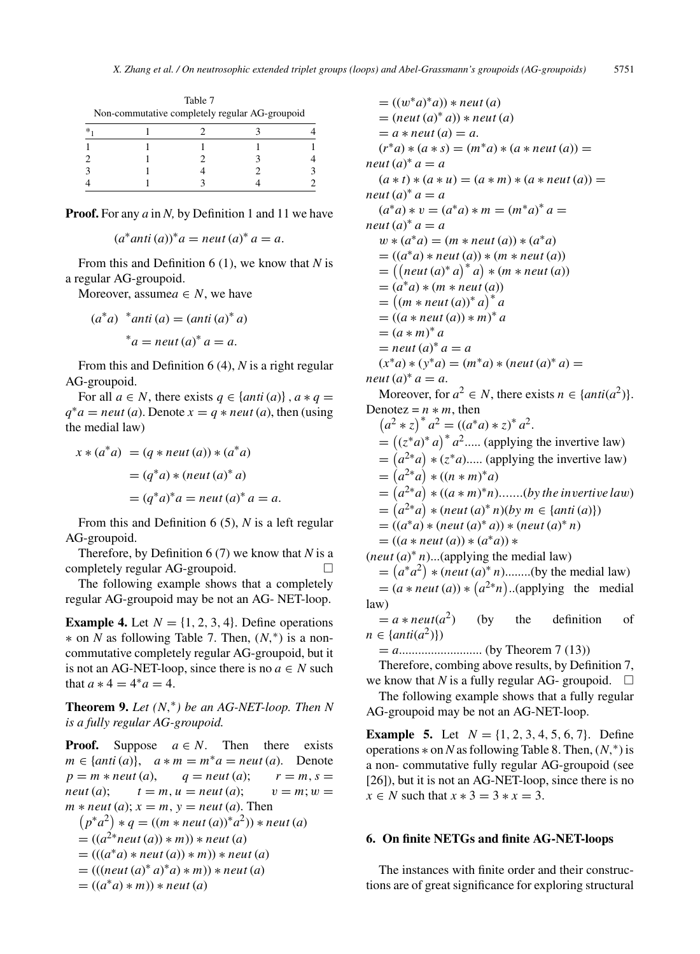| Table 7<br>Non-commutative completely regular AG-groupoid |  |  |  |  |  |  |
|-----------------------------------------------------------|--|--|--|--|--|--|
| ×                                                         |  |  |  |  |  |  |
|                                                           |  |  |  |  |  |  |
|                                                           |  |  |  |  |  |  |
|                                                           |  |  |  |  |  |  |
|                                                           |  |  |  |  |  |  |

**Proof.** For any *a* in *N,* by Definition 1 and 11 we have

$$
(a*anti (a))* a = neutr (a)* a = a.
$$

From this and Definition 6 (1), we know that *N* is a regular AG-groupoid.

Moreover, assume $a \in N$ , we have

$$
(a*a) *anti (a) = (anti (a)* a)
$$
  
\*a = neutr (a)\*a = a.

From this and Definition 6 (4), *N* is a right regular AG-groupoid.

For all  $a \in N$ , there exists  $q \in \{anti(a)\}\,$ ,  $a * q =$  $q^*a = \textit{neut}(a)$ . Denote  $x = q * \textit{neut}(a)$ , then (using the medial law)

$$
x * (a*a) = (q * neut (a)) * (a*a)
$$
  

$$
= (q*a) * (neut (a)*a)
$$
  

$$
= (q*a)*a = neut (a)*a = a.
$$

From this and Definition 6 (5), *N* is a left regular AG-groupoid.

Therefore, by Definition 6 (7) we know that *N* is a completely regular AG-groupoid.  $\Box$ 

The following example shows that a completely regular AG-groupoid may be not an AG- NET-loop.

**Example 4.** Let  $N = \{1, 2, 3, 4\}$ . Define operations ∗ on *N* as following Table 7. Then, (*N,*∗) is a noncommutative completely regular AG-groupoid, but it is not an AG-NET-loop, since there is no  $a \in N$  such that  $a * 4 = 4 * a = 4$ .

**Theorem 9.** *Let*  $(N, * )$  *be an AG-NET-loop. Then*  $N$ *is a fully regular AG-groupoid.*

**Proof.** Suppose  $a \in N$ . Then there exists  $m \in \{anti(a)\}, \quad a * m = m^* a = neut(a).$  Denote  $p = m * neut(a),$   $q = neut(a);$   $r = m, s =$ *neut* (*a*);  $t = m, u = neutr(a); v = m; w =$  $m * \textit{neut}(a); x = m, y = \textit{neut}(a)$ . Then  $(p^*a^2) * q = ((m * neut(a))^*a^2) * neut(a)$  $= ((a^{2*}neut(a))*m))*neut(a)$  $= (((a^*a) * neut(a)) * m)) * neut(a)$  $= (((neut(a)^* a)^* a) * m)) * neut(a)$  $= ((a^*a) * m) * new(a)$ 

 $= ((w^*a)^*a)$  \* *neut* (*a*)  $=$   $(newt(a)*a))*neut(a)$  $= a * \textit{neut}(a) = a.$  $(r^*a) * (a * s) = (m^*a) * (a * neut(a)) =$  $neut (a)^* a = a$  $(a * t) * (a * u) = (a * m) * (a * neutr(a)) =$  $neut (a)^* a = a$  $(a^*a) * v = (a^*a) * m = (m^*a)^* a =$  $neut (a)^* a = a$  $w * (a^*a) = (m * neut(a)) * (a^*a)$  $= ((a^*a) * neut(a)) * (m * neut(a))$  $= ((neut(a)*a)*a)* (m*neut(a))$  $= (a^*a) * (m * neut(a))$  $= ((m * neut(a)) * a)^* a$  $= ((a * neut(a)) * m)^* a$  $= (a * m)^* a$  $=$  *neut*  $(a)^* a = a$  $(x^*a) * (y^*a) = (m^*a) * (neut (a)^* a) =$  $neut (a)^* a = a.$ Moreover, for  $a^2 \in N$ , there exists  $n \in \{anti(a^2)\}.$ Denotez =  $n * m$ , then  $(a^2 * z)^* a^2 = ((a^*a) * z)^* a^2.$  $= ((z^*a)^* a)^* a^2$ ..... (applying the invertive law)  $= (a^{2*}a) * (z^*a)$ ..... (applying the invertive law)  $= (a^{2*}a) * ((n * m)^*a)$  $= (a^{2*}a) * ((a * m)^*n)$ .......(*by the invertive law*)  $= (a^{2*}a) * (neut(a)^*n)(by \, m \in \{anti(a)\})$  $= ((a^*a) * (neut(a)^*a)) * (neut(a)^*n)$  $= ((a * neut (a)) * (a * a)) *$  $(new (a)*n)...(applying the medial law)$  $= (a^* a^2) * (neut (a)^* n)$ ........(by the medial law)  $= (a * neut(a)) * (a^{2*}n)$ ..(applying the medial law)

 $= a * neut(a<sup>2</sup>)$  (by the definition of  $n \in \{anti(a^2)\}\$ 

= *a*.......................... (by Theorem 7 (13))

Therefore, combing above results, by Definition 7,

we know that *N* is a fully regular AG- groupoid.  $\square$ The following example shows that a fully regular AG-groupoid may be not an AG-NET-loop.

**Example 5.** Let  $N = \{1, 2, 3, 4, 5, 6, 7\}$ . Define operations ∗ on *N* as following Table 8. Then, (*N,*∗) is a non- commutative fully regular AG-groupoid (see [26]), but it is not an AG-NET-loop, since there is no *x* ∈ *N* such that  $x * 3 = 3 * x = 3$ .

#### **6. On finite NETGs and finite AG-NET-loops**

The instances with finite order and their constructions are of great significance for exploring structural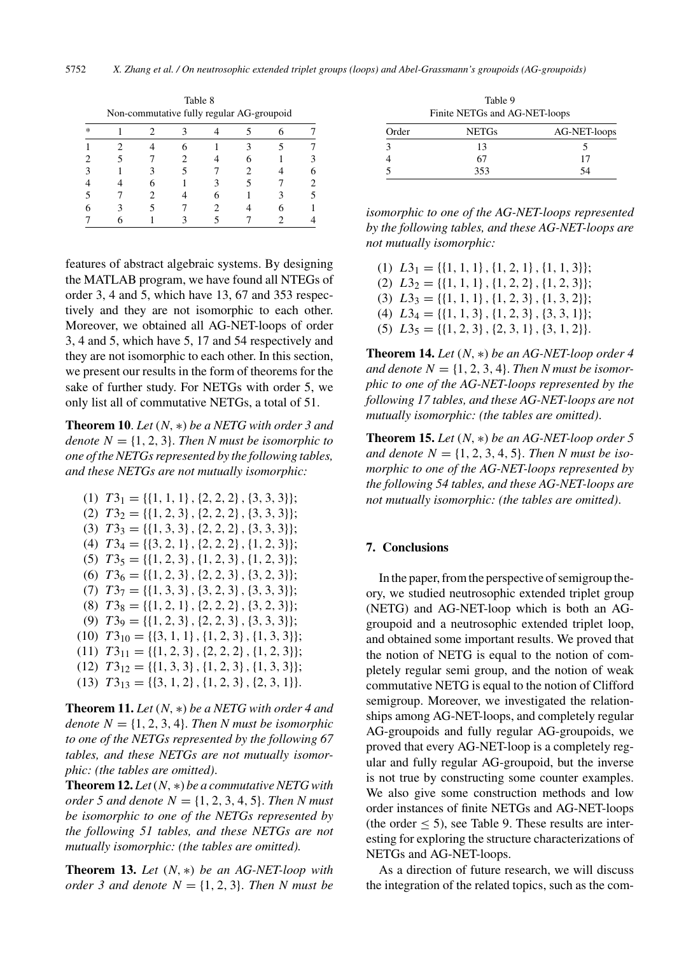|        | Non-commutative fully regular AG-groupoid |  |  |  |  |  |  |  |  |
|--------|-------------------------------------------|--|--|--|--|--|--|--|--|
| $\ast$ |                                           |  |  |  |  |  |  |  |  |
|        |                                           |  |  |  |  |  |  |  |  |
|        |                                           |  |  |  |  |  |  |  |  |
|        |                                           |  |  |  |  |  |  |  |  |
|        |                                           |  |  |  |  |  |  |  |  |
|        |                                           |  |  |  |  |  |  |  |  |
|        |                                           |  |  |  |  |  |  |  |  |
|        |                                           |  |  |  |  |  |  |  |  |

Table 8

features of abstract algebraic systems. By designing the MATLAB program, we have found all NTEGs of order 3, 4 and 5, which have 13, 67 and 353 respectively and they are not isomorphic to each other. Moreover, we obtained all AG-NET-loops of order 3, 4 and 5, which have 5, 17 and 54 respectively and they are not isomorphic to each other. In this section, we present our results in the form of theorems for the sake of further study. For NETGs with order 5, we only list all of commutative NETGs, a total of 51.

**Theorem 10**. *Let* (*N,* ∗) *be a NETG with order 3 and denote*  $N = \{1, 2, 3\}$ *. Then N must be isomorphic to one of the NETGs represented by the following tables, and these NETGs are not mutually isomorphic:*

 $(T1)$   $T3_1 = \{ \{1, 1, 1\}, \{2, 2, 2\}, \{3, 3, 3\} \};$ (2) *T* 32 = {{1*,* 2*,* 3}*,*{2*,* 2*,* 2}*,*{3*,* 3*,* 3}};  $(T3)$   $T3_3 = \{ \{1, 3, 3\}, \{2, 2, 2\}, \{3, 3, 3\} \};$ (4) *T* 34 = {{3*,* 2*,* 1}*,*{2*,* 2*,* 2}*,*{1*,* 2*,* 3}}; (5) *T* 35 = {{1*,* 2*,* 3}*,*{1*,* 2*,* 3}*,*{1*,* 2*,* 3}}; (6) *T* 36 = {{1*,* 2*,* 3}*,*{2*,* 2*,* 3}*,*{3*,* 2*,* 3}};  $(T)$   $T3_7 = \{\{1, 3, 3\}, \{3, 2, 3\}, \{3, 3, 3\}\};$ (8) *T* 38 = {{1*,* 2*,* 1}*,*{2*,* 2*,* 2}*,*{3*,* 2*,* 3}}; (9) *T* 39 = {{1*,* 2*,* 3}*,*{2*,* 2*,* 3}*,*{3*,* 3*,* 3}}; (10) *T* 310 = {{3*,* 1*,* 1}*,*{1*,* 2*,* 3}*,*{1*,* 3*,* 3}};  $(T1)$   $T3_{11} = {\{1, 2, 3\}, \{2, 2, 2\}, \{1, 2, 3\}};$ (12) *T* 312 = {{1*,* 3*,* 3}*,*{1*,* 2*,* 3}*,*{1*,* 3*,* 3}};  $(T3) T3_{13} = \{\{3, 1, 2\}, \{1, 2, 3\}, \{2, 3, 1\}\}.$ 

**Theorem 11.** *Let* (*N,* ∗) *be a NETG with order 4 and denote*  $N = \{1, 2, 3, 4\}$ *. Then N must be isomorphic to one of the NETGs represented by the following 67 tables, and these NETGs are not mutually isomorphic: (the tables are omitted)*.

**Theorem 12.** *Let*(*N,* ∗) *be a commutative NETG with order* 5 *and denote*  $N = \{1, 2, 3, 4, 5\}$ *. Then N must be isomorphic to one of the NETGs represented by the following 51 tables, and these NETGs are not mutually isomorphic: (the tables are omitted).*

**Theorem 13.** *Let* (*N,* ∗) *be an AG-NET-loop with order 3 and denote*  $N = \{1, 2, 3\}$ . *Then N must be* 

Table 9 Finite NETGs and AG-NET-loops

| Order | <b>NETGs</b> | AG-NET-loops |
|-------|--------------|--------------|
|       | 13           |              |
|       | 67           |              |
|       | 353          | 54           |

*isomorphic to one of the AG-NET-loops represented by the following tables, and these AG-NET-loops are not mutually isomorphic:*

(1)  $L3_1 = \{\{1, 1, 1\}, \{1, 2, 1\}, \{1, 1, 3\}\};$ (2) *L*32 = {{1*,* 1*,* 1}*,*{1*,* 2*,* 2}*,*{1*,* 2*,* 3}}; (3)  $L3_3 = \{\{1, 1, 1\}, \{1, 2, 3\}, \{1, 3, 2\}\};$ (4) *L*34 = {{1*,* 1*,* 3}*,*{1*,* 2*,* 3}*,*{3*,* 3*,* 1}};  $L3_5 = \{\{1, 2, 3\}, \{2, 3, 1\}, \{3, 1, 2\}\}.$ 

**Theorem 14.** *Let* (*N,* ∗) *be an AG-NET-loop order 4* and denote  $N = \{1, 2, 3, 4\}$ . *Then N must be isomorphic to one of the AG-NET-loops represented by the following 17 tables, and these AG-NET-loops are not mutually isomorphic: (the tables are omitted)*.

**Theorem 15.** *Let* (*N,* ∗) *be an AG-NET-loop order 5 and denote*  $N = \{1, 2, 3, 4, 5\}$ . *Then N must be isomorphic to one of the AG-NET-loops represented by the following 54 tables, and these AG-NET-loops are not mutually isomorphic: (the tables are omitted)*.

## **7. Conclusions**

In the paper, from the perspective of semigroup theory, we studied neutrosophic extended triplet group (NETG) and AG-NET-loop which is both an AGgroupoid and a neutrosophic extended triplet loop, and obtained some important results. We proved that the notion of NETG is equal to the notion of completely regular semi group, and the notion of weak commutative NETG is equal to the notion of Clifford semigroup. Moreover, we investigated the relationships among AG-NET-loops, and completely regular AG-groupoids and fully regular AG-groupoids, we proved that every AG-NET-loop is a completely regular and fully regular AG-groupoid, but the inverse is not true by constructing some counter examples. We also give some construction methods and low order instances of finite NETGs and AG-NET-loops (the order  $\leq$  5), see Table 9. These results are interesting for exploring the structure characterizations of NETGs and AG-NET-loops.

As a direction of future research, we will discuss the integration of the related topics, such as the com